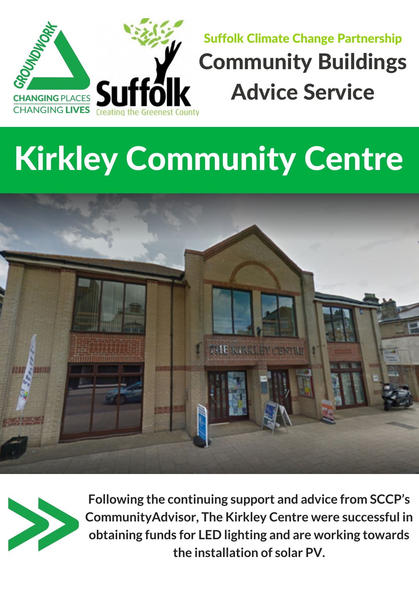**Following the continuing support and advice from SCCP's CommunityAdvisor, The Kirkley Centre were successful in obtaining funds for LED lighting and are working towards the installation of solar PV.**



## Kirkley Community Centre